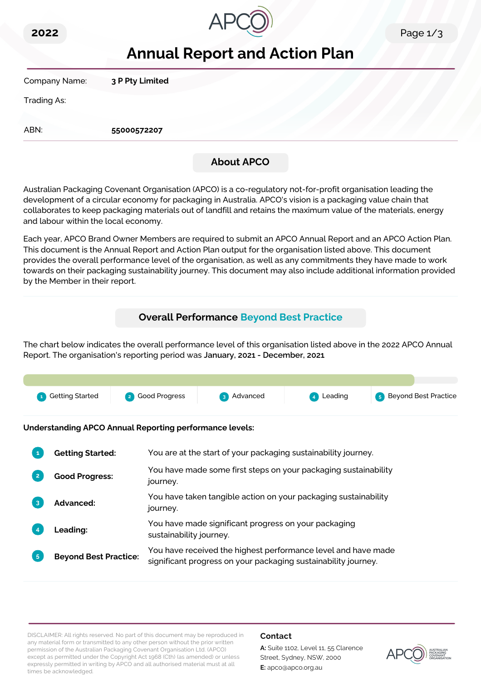



# **Annual Report and Action Plan**

Company Name: **3 P Pty Limited**

Trading As:

ABN: **55000572207**

# **About APCO**

Australian Packaging Covenant Organisation (APCO) is a co-regulatory not-for-profit organisation leading the development of a circular economy for packaging in Australia. APCO's vision is a packaging value chain that collaborates to keep packaging materials out of landfill and retains the maximum value of the materials, energy and labour within the local economy.

Each year, APCO Brand Owner Members are required to submit an APCO Annual Report and an APCO Action Plan. This document is the Annual Report and Action Plan output for the organisation listed above. This document provides the overall performance level of the organisation, as well as any commitments they have made to work towards on their packaging sustainability journey. This document may also include additional information provided by the Member in their report.

# **Overall Performance Beyond Best Practice**

The chart below indicates the overall performance level of this organisation listed above in the 2022 APCO Annual Report. The organisation's reporting period was **January, 2021 - December, 2021**.



**Understanding APCO Annual Reporting performance levels:**

| 1              | <b>Getting Started:</b>      | You are at the start of your packaging sustainability journey.                                                                  |
|----------------|------------------------------|---------------------------------------------------------------------------------------------------------------------------------|
| $\overline{2}$ | <b>Good Progress:</b>        | You have made some first steps on your packaging sustainability<br>journey.                                                     |
| $\overline{3}$ | <b>Advanced:</b>             | You have taken tangible action on your packaging sustainability<br>journey.                                                     |
|                | Leading:                     | You have made significant progress on your packaging<br>sustainability journey.                                                 |
| 5 <sup>1</sup> | <b>Beyond Best Practice:</b> | You have received the highest performance level and have made<br>significant progress on your packaging sustainability journey. |

DISCLAIMER: All rights reserved. No part of this document may be reproduced in any material form or transmitted to any other person without the prior written permission of the Australian Packaging Covenant Organisation Ltd. (APCO) except as permitted under the Copyright Act 1968 (Cth) (as amended) or unless expressly permitted in writing by APCO and all authorised material must at all times be acknowledged.

## **Contact**

**A:** Suite 1102, Level 11, 55 Clarence Street, Sydney, NSW, 2000 **E:** apco@apco.org.au

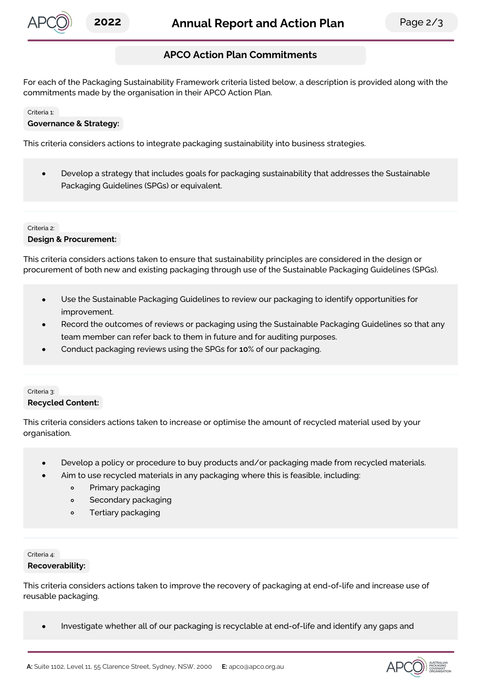

## **APCO Action Plan Commitments**

For each of the Packaging Sustainability Framework criteria listed below, a description is provided along with the commitments made by the organisation in their APCO Action Plan.

#### Criteria 1:

#### **Governance & Strategy:**

This criteria considers actions to integrate packaging sustainability into business strategies.

Develop a strategy that includes goals for packaging sustainability that addresses the Sustainable  $\bullet$ Packaging Guidelines (SPGs) or equivalent.

## Criteria 2: **Design & Procurement:**

This criteria considers actions taken to ensure that sustainability principles are considered in the design or procurement of both new and existing packaging through use of the Sustainable Packaging Guidelines (SPGs).

- Use the Sustainable Packaging Guidelines to review our packaging to identify opportunities for improvement.
- Record the outcomes of reviews or packaging using the Sustainable Packaging Guidelines so that any team member can refer back to them in future and for auditing purposes.
- Conduct packaging reviews using the SPGs for **10**% of our packaging.

## Criteria 3: **Recycled Content:**

This criteria considers actions taken to increase or optimise the amount of recycled material used by your organisation.

- Develop a policy or procedure to buy products and/or packaging made from recycled materials.
- Aim to use recycled materials in any packaging where this is feasible, including:
	- $\circ$ Primary packaging
	- Secondary packaging  $\circ$
	- Tertiary packaging  $\circ$

### Criteria 4: **Recoverability:**

This criteria considers actions taken to improve the recovery of packaging at end-of-life and increase use of reusable packaging.

Investigate whether all of our packaging is recyclable at end-of-life and identify any gaps and